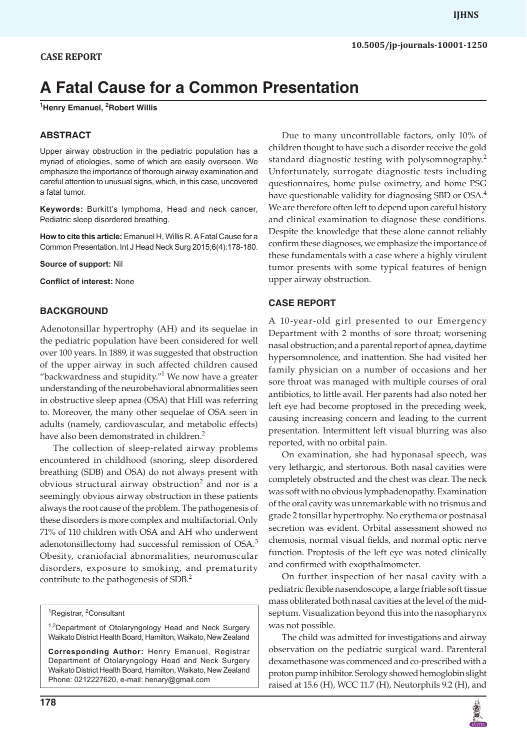# **A Fatal Cause for a Common Presentation**

**1 Henry Emanuel, 2 Robert Willis**

#### **ABSTRACT**

Upper airway obstruction in the pediatric population has a myriad of etiologies, some of which are easily overseen. We emphasize the importance of thorough airway examination and careful attention to unusual signs, which, in this case, uncovered a fatal tumor.

**Keywords:** Burkitt's lymphoma, Head and neck cancer, Pediatric sleep disordered breathing.

**How to cite this article:** Emanuel H, Willis R. A Fatal Cause for a Common Presentation. Int J Head Neck Surg 2015;6(4):178-180.

**Source of support:** Nil

**Conflict of interest:** None

#### **BACKGROUND**

Adenotonsillar hypertrophy (AH) and its sequelae in the pediatric population have been considered for well over 100 years. In 1889, it was suggested that obstruction of the upper airway in such affected children caused "backwardness and stupidity." $1$  We now have a greater understanding of the neurobehavioral abnormalities seen in obstructive sleep apnea (OSA) that Hill was referring to. Moreover, the many other sequelae of OSA seen in adults (namely, cardiovascular, and metabolic effects) have also been demonstrated in children.<sup>2</sup>

The collection of sleep-related airway problems encountered in childhood (snoring, sleep disordered breathing (SDB) and OSA) do not always present with obvious structural airway obstruction<sup>2</sup> and nor is a seemingly obvious airway obstruction in these patients always the root cause of the problem. The pathogenesis of these disorders is more complex and multifactorial. Only 71% of 110 children with OSA and AH who underwent adenotonsillectomy had successful remission of OSA.<sup>3</sup> Obesity, craniofacial abnormalities, neuromuscular disorders, exposure to smoking, and prematurity contribute to the pathogenesis of SDB.<sup>2</sup>

<sup>1</sup>Registrar, <sup>2</sup>Consultant

<sup>1,2</sup>Department of Otolaryngology Head and Neck Surgery Waikato District Health Board, Hamilton, Waikato, New Zealand

**Corresponding Author:** Henry Emanuel, Registrar Department of Otolaryngology Head and Neck Surgery Waikato District Health Board, Hamilton, Waikato, New Zealand Phone: 0212227620, e-mail: henary@gmail.com

standard diagnostic testing with polysomnography.<sup>2</sup> Unfortunately, surrogate diagnostic tests including questionnaires, home pulse oximetry, and home PSG have questionable validity for diagnosing SBD or OSA.<sup>4</sup> We are therefore often left to depend upon careful history and clinical examination to diagnose these conditions. Despite the knowledge that these alone cannot reliably confirm these diagnoses, we emphasize the importance of these fundamentals with a case where a highly virulent tumor presents with some typical features of benign upper airway obstruction. **CASE Report**

Due to many uncontrollable factors, only 10% of children thought to have such a disorder receive the gold

A 10-year-old girl presented to our Emergency Department with 2 months of sore throat; worsening nasal obstruction; and a parental report of apnea, daytime hypersomnolence, and inattention. She had visited her family physician on a number of occasions and her sore throat was managed with multiple courses of oral antibiotics, to little avail. Her parents had also noted her left eye had become proptosed in the preceding week, causing increasing concern and leading to the current presentation. Intermittent left visual blurring was also reported, with no orbital pain.

On examination, she had hyponasal speech, was very lethargic, and stertorous. Both nasal cavities were completely obstructed and the chest was clear. The neck was soft with no obvious lymphadenopathy. Examination of the oral cavity was unremarkable with no trismus and grade 2 tonsillar hypertrophy. No erythema or postnasal secretion was evident. Orbital assessment showed no chemosis, normal visual fields, and normal optic nerve function. Proptosis of the left eye was noted clinically and confirmed with exopthalmometer.

On further inspection of her nasal cavity with a pediatric flexible nasendoscope, a large friable soft tissue mass obliterated both nasal cavities at the level of the midseptum. Visualization beyond this into the nasopharynx was not possible.

The child was admitted for investigations and airway observation on the pediatric surgical ward. Parenteral dexamethasone was commenced and co-prescribed with a proton pump inhibitor. Serology showed hemoglobin slight raised at 15.6 (H), WCC 11.7 (H), Neutorphils 9.2 (H), and

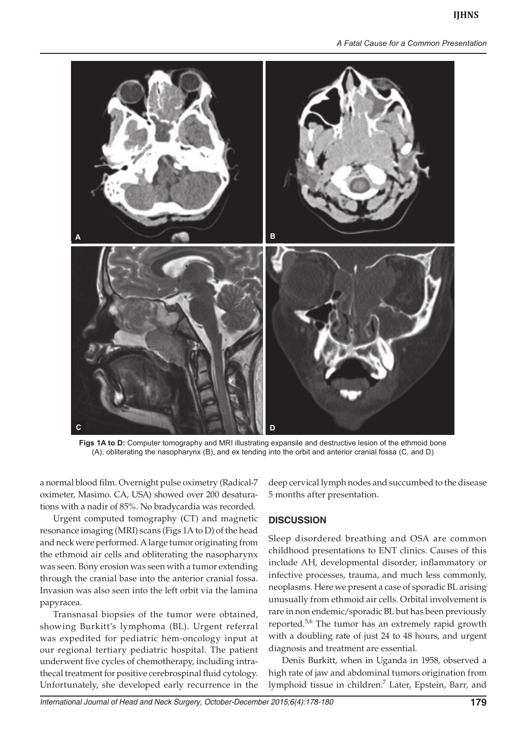*A Fatal Cause for a Common Presentation*



**Figs 1A to D:** Computer tomography and MRI illustrating expansile and destructive lesion of the ethmoid bone (A), obliterating the nasopharynx (B), and ex tending into the orbit and anterior cranial fossa (C, and D)

a normal blood film. Overnight pulse oximetry (Radical-7 oximeter, Masimo. CA, USA) showed over 200 desaturations with a nadir of 85%. No bradycardia was recorded.

Urgent computed tomography (CT) and magnetic resonance imaging (MRI) scans (Figs 1A to D) of the head and neck were performed. A large tumor originating from the ethmoid air cells and obliterating the nasopharynx was seen. Bony erosion was seen with a tumor extending through the cranial base into the anterior cranial fossa. Invasion was also seen into the left orbit via the lamina papyracea.

Transnasal biopsies of the tumor were obtained, showing Burkitt's lymphoma (BL). Urgent referral was expedited for pediatric hem-oncology input at our regional tertiary pediatric hospital. The patient underwent five cycles of chemotherapy, including intrathecal treatment for positive cerebrospinal fluid cytology. Unfortunately, she developed early recurrence in the

deep cervical lymph nodes and succumbed to the disease 5 months after presentation.

#### **DISCUSSION**

Sleep disordered breathing and OSA are common childhood presentations to ENT clinics. Causes of this include AH, developmental disorder, inflammatory or infective processes, trauma, and much less commonly, neoplasms. Here we present a case of sporadic BL arising unusually from ethmoid air cells. Orbital involvement is rare in non endemic/sporadic BL but has been previously reported.<sup>5,6</sup> The tumor has an extremely rapid growth with a doubling rate of just 24 to 48 hours, and urgent diagnosis and treatment are essential.

Denis Burkitt, when in Uganda in 1958, observed a high rate of jaw and abdominal tumors origination from lymphoid tissue in children.<sup>7</sup> Later, Epstein, Barr, and